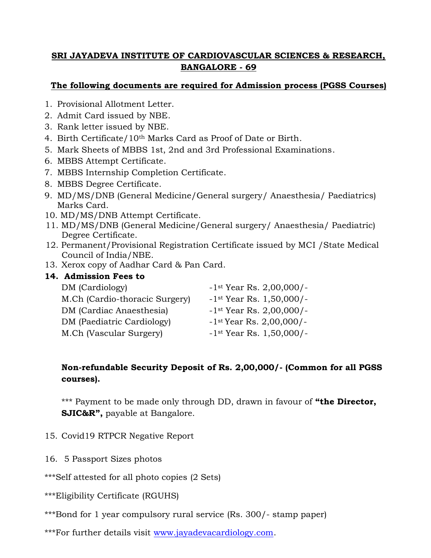#### **SRI JAYADEVA INSTITUTE OF CARDIOVASCULAR SCIENCES & RESEARCH, BANGALORE - 69**

#### **The following documents are required for Admission process (PGSS Courses)**

- 1. Provisional Allotment Letter.
- 2. Admit Card issued by NBE.
- 3. Rank letter issued by NBE.
- 4. Birth Certificate/10th Marks Card as Proof of Date or Birth.
- 5. Mark Sheets of MBBS 1st, 2nd and 3rd Professional Examinations.
- 6. MBBS Attempt Certificate.
- 7. MBBS Internship Completion Certificate.
- 8. MBBS Degree Certificate.
- 9. MD/MS/DNB (General Medicine/General surgery/ Anaesthesia/ Paediatrics) Marks Card.
- 10. MD/MS/DNB Attempt Certificate.
- 11. MD/MS/DNB (General Medicine/General surgery/ Anaesthesia/ Paediatric) Degree Certificate.
- 12. Permanent/Provisional Registration Certificate issued by MCI /State Medical Council of India/NBE.
- 13. Xerox copy of Aadhar Card & Pan Card.

#### **14. Admission Fees to**

| DM (Cardiology)                | $-1$ <sup>st</sup> Year Rs. 2,00,000/- |
|--------------------------------|----------------------------------------|
| M.Ch (Cardio-thoracic Surgery) | $-1$ <sup>st</sup> Year Rs. 1,50,000/- |
| DM (Cardiac Anaesthesia)       | $-1$ <sup>st</sup> Year Rs. 2,00,000/- |
| DM (Paediatric Cardiology)     | $-1$ <sup>st</sup> Year Rs. 2,00,000/- |
| M.Ch (Vascular Surgery)        | $-1$ <sup>st</sup> Year Rs. 1,50,000/- |

#### **Non-refundable Security Deposit of Rs. 2,00,000/- (Common for all PGSS courses).**

\*\*\* Payment to be made only through DD, drawn in favour of **"the Director, SJIC&R",** payable at Bangalore.

- 15. Covid19 RTPCR Negative Report
- 16. 5 Passport Sizes photos

\*\*\*Self attested for all photo copies (2 Sets)

\*\*\*Eligibility Certificate (RGUHS)

\*\*\*Bond for 1 year compulsory rural service (Rs. 300/- stamp paper)

\*\*\*For further details visit www.jayadevacardiology.com.